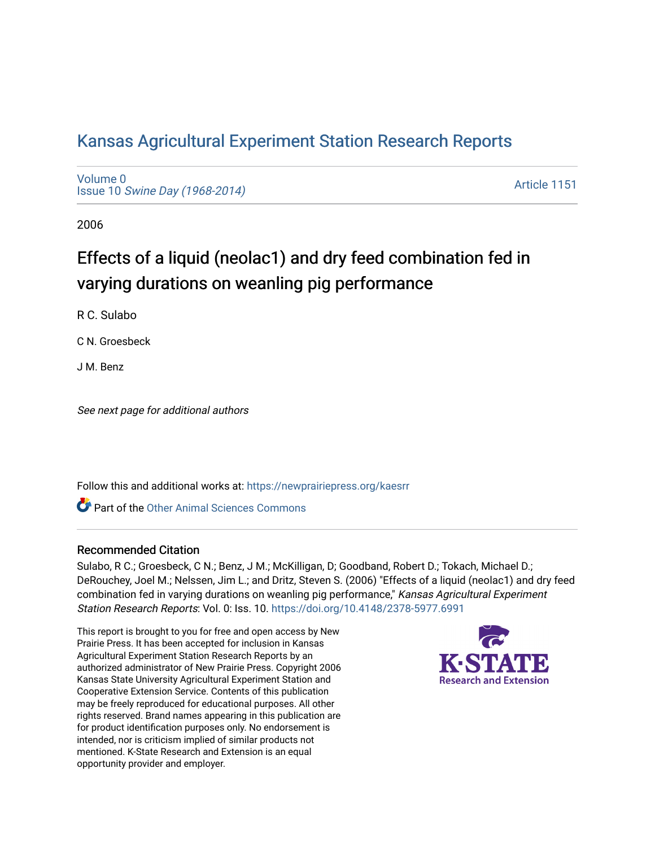# [Kansas Agricultural Experiment Station Research Reports](https://newprairiepress.org/kaesrr)

[Volume 0](https://newprairiepress.org/kaesrr/vol0) Issue 10 [Swine Day \(1968-2014\)](https://newprairiepress.org/kaesrr/vol0/iss10)

[Article 1151](https://newprairiepress.org/kaesrr/vol0/iss10/1151) 

2006

# Effects of a liquid (neolac1) and dry feed combination fed in varying durations on weanling pig performance

R C. Sulabo

C N. Groesbeck

J M. Benz

See next page for additional authors

Follow this and additional works at: [https://newprairiepress.org/kaesrr](https://newprairiepress.org/kaesrr?utm_source=newprairiepress.org%2Fkaesrr%2Fvol0%2Fiss10%2F1151&utm_medium=PDF&utm_campaign=PDFCoverPages) 

**C** Part of the [Other Animal Sciences Commons](http://network.bepress.com/hgg/discipline/82?utm_source=newprairiepress.org%2Fkaesrr%2Fvol0%2Fiss10%2F1151&utm_medium=PDF&utm_campaign=PDFCoverPages)

#### Recommended Citation

Sulabo, R C.; Groesbeck, C N.; Benz, J M.; McKilligan, D; Goodband, Robert D.; Tokach, Michael D.; DeRouchey, Joel M.; Nelssen, Jim L.; and Dritz, Steven S. (2006) "Effects of a liquid (neolac1) and dry feed combination fed in varying durations on weanling pig performance," Kansas Agricultural Experiment Station Research Reports: Vol. 0: Iss. 10. <https://doi.org/10.4148/2378-5977.6991>

This report is brought to you for free and open access by New Prairie Press. It has been accepted for inclusion in Kansas Agricultural Experiment Station Research Reports by an authorized administrator of New Prairie Press. Copyright 2006 Kansas State University Agricultural Experiment Station and Cooperative Extension Service. Contents of this publication may be freely reproduced for educational purposes. All other rights reserved. Brand names appearing in this publication are for product identification purposes only. No endorsement is intended, nor is criticism implied of similar products not mentioned. K-State Research and Extension is an equal opportunity provider and employer.

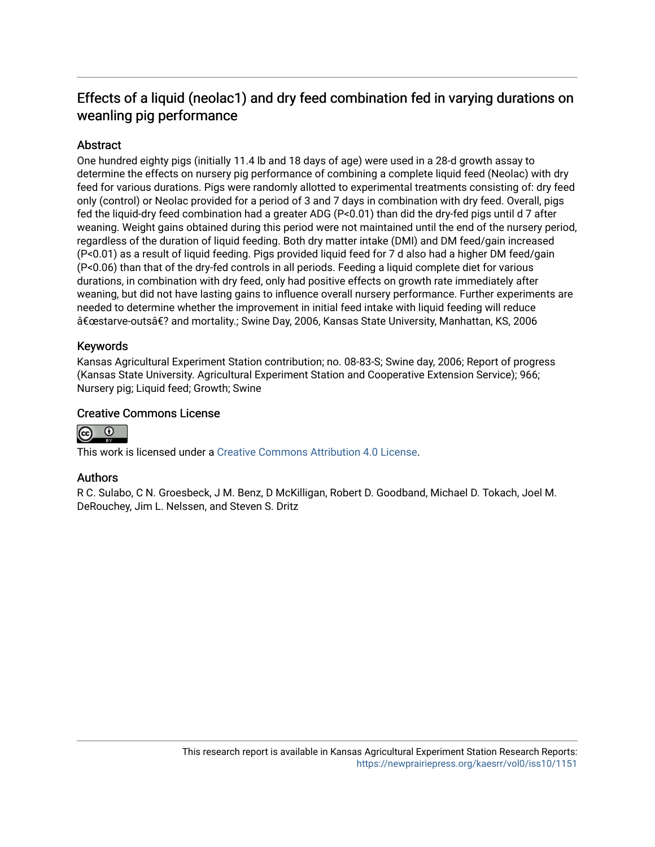# Effects of a liquid (neolac1) and dry feed combination fed in varying durations on weanling pig performance

## **Abstract**

One hundred eighty pigs (initially 11.4 lb and 18 days of age) were used in a 28-d growth assay to determine the effects on nursery pig performance of combining a complete liquid feed (Neolac) with dry feed for various durations. Pigs were randomly allotted to experimental treatments consisting of: dry feed only (control) or Neolac provided for a period of 3 and 7 days in combination with dry feed. Overall, pigs fed the liquid-dry feed combination had a greater ADG (P<0.01) than did the dry-fed pigs until d 7 after weaning. Weight gains obtained during this period were not maintained until the end of the nursery period, regardless of the duration of liquid feeding. Both dry matter intake (DMI) and DM feed/gain increased (P<0.01) as a result of liquid feeding. Pigs provided liquid feed for 7 d also had a higher DM feed/gain (P<0.06) than that of the dry-fed controls in all periods. Feeding a liquid complete diet for various durations, in combination with dry feed, only had positive effects on growth rate immediately after weaning, but did not have lasting gains to influence overall nursery performance. Further experiments are needed to determine whether the improvement in initial feed intake with liquid feeding will reduce "starve-outs� and mortality.; Swine Day, 2006, Kansas State University, Manhattan, KS, 2006

## Keywords

Kansas Agricultural Experiment Station contribution; no. 08-83-S; Swine day, 2006; Report of progress (Kansas State University. Agricultural Experiment Station and Cooperative Extension Service); 966; Nursery pig; Liquid feed; Growth; Swine

### Creative Commons License



This work is licensed under a [Creative Commons Attribution 4.0 License](https://creativecommons.org/licenses/by/4.0/).

#### Authors

R C. Sulabo, C N. Groesbeck, J M. Benz, D McKilligan, Robert D. Goodband, Michael D. Tokach, Joel M. DeRouchey, Jim L. Nelssen, and Steven S. Dritz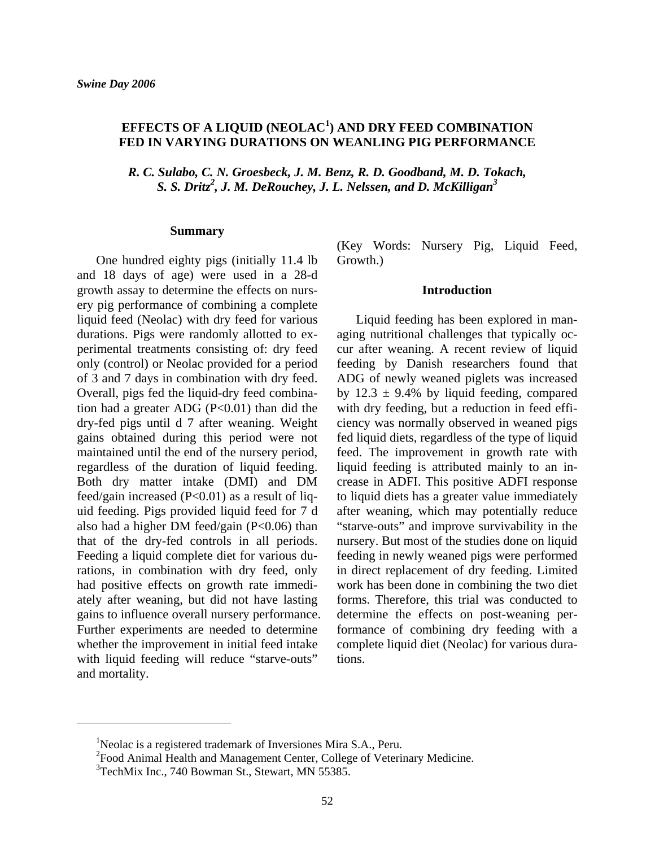# **EFFECTS OF A LIQUID (NEOLAC1 ) AND DRY FEED COMBINATION FED IN VARYING DURATIONS ON WEANLING PIG PERFORMANCE**

*R. C. Sulabo, C. N. Groesbeck, J. M. Benz, R. D. Goodband, M. D. Tokach, S. S. Dritz2 , J. M. DeRouchey, J. L. Nelssen, and D. McKilligan3*

#### **Summary**

 One hundred eighty pigs (initially 11.4 lb and 18 days of age) were used in a 28-d growth assay to determine the effects on nursery pig performance of combining a complete liquid feed (Neolac) with dry feed for various durations. Pigs were randomly allotted to experimental treatments consisting of: dry feed only (control) or Neolac provided for a period of 3 and 7 days in combination with dry feed. Overall, pigs fed the liquid-dry feed combination had a greater ADG  $(P<0.01)$  than did the dry-fed pigs until d 7 after weaning. Weight gains obtained during this period were not maintained until the end of the nursery period, regardless of the duration of liquid feeding. Both dry matter intake (DMI) and DM feed/gain increased  $(P<0.01)$  as a result of liquid feeding. Pigs provided liquid feed for 7 d also had a higher DM feed/gain (P<0.06) than that of the dry-fed controls in all periods. Feeding a liquid complete diet for various durations, in combination with dry feed, only had positive effects on growth rate immediately after weaning, but did not have lasting gains to influence overall nursery performance. Further experiments are needed to determine whether the improvement in initial feed intake with liquid feeding will reduce "starve-outs" and mortality.

(Key Words: Nursery Pig, Liquid Feed, Growth.)

#### **Introduction**

 Liquid feeding has been explored in managing nutritional challenges that typically occur after weaning. A recent review of liquid feeding by Danish researchers found that ADG of newly weaned piglets was increased by  $12.3 \pm 9.4\%$  by liquid feeding, compared with dry feeding, but a reduction in feed efficiency was normally observed in weaned pigs fed liquid diets, regardless of the type of liquid feed. The improvement in growth rate with liquid feeding is attributed mainly to an increase in ADFI. This positive ADFI response to liquid diets has a greater value immediately after weaning, which may potentially reduce "starve-outs" and improve survivability in the nursery. But most of the studies done on liquid feeding in newly weaned pigs were performed in direct replacement of dry feeding. Limited work has been done in combining the two diet forms. Therefore, this trial was conducted to determine the effects on post-weaning performance of combining dry feeding with a complete liquid diet (Neolac) for various durations.

 $\overline{a}$ 

<sup>&</sup>lt;sup>1</sup>Neolac is a registered trademark of Inversiones Mira S.A., Peru.

<sup>&</sup>lt;sup>2</sup>Food Animal Health and Management Center, College of Veterinary Medicine.

 $3$ TechMix Inc., 740 Bowman St., Stewart, MN 55385.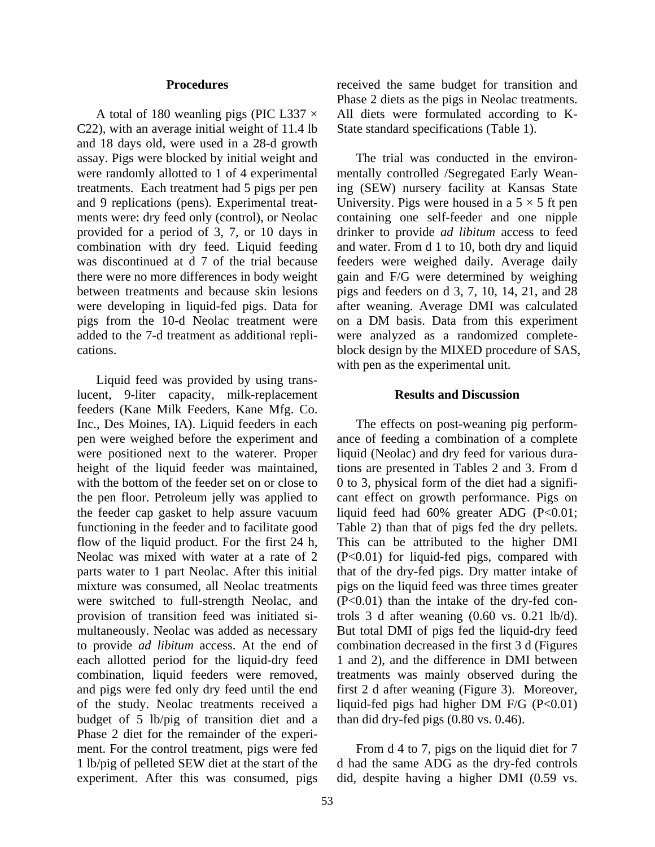#### **Procedures**

A total of 180 weanling pigs (PIC L337  $\times$ C22), with an average initial weight of 11.4 lb and 18 days old, were used in a 28-d growth assay. Pigs were blocked by initial weight and were randomly allotted to 1 of 4 experimental treatments. Each treatment had 5 pigs per pen and 9 replications (pens). Experimental treatments were: dry feed only (control), or Neolac provided for a period of 3, 7, or 10 days in combination with dry feed. Liquid feeding was discontinued at d 7 of the trial because there were no more differences in body weight between treatments and because skin lesions were developing in liquid-fed pigs. Data for pigs from the 10-d Neolac treatment were added to the 7-d treatment as additional replications.

 Liquid feed was provided by using translucent, 9-liter capacity, milk-replacement feeders (Kane Milk Feeders, Kane Mfg. Co. Inc., Des Moines, IA). Liquid feeders in each pen were weighed before the experiment and were positioned next to the waterer. Proper height of the liquid feeder was maintained, with the bottom of the feeder set on or close to the pen floor. Petroleum jelly was applied to the feeder cap gasket to help assure vacuum functioning in the feeder and to facilitate good flow of the liquid product. For the first 24 h, Neolac was mixed with water at a rate of 2 parts water to 1 part Neolac. After this initial mixture was consumed, all Neolac treatments were switched to full-strength Neolac, and provision of transition feed was initiated simultaneously. Neolac was added as necessary to provide *ad libitum* access. At the end of each allotted period for the liquid-dry feed combination, liquid feeders were removed, and pigs were fed only dry feed until the end of the study. Neolac treatments received a budget of 5 lb/pig of transition diet and a Phase 2 diet for the remainder of the experiment. For the control treatment, pigs were fed 1 lb/pig of pelleted SEW diet at the start of the experiment. After this was consumed, pigs

received the same budget for transition and Phase 2 diets as the pigs in Neolac treatments. All diets were formulated according to K-State standard specifications (Table 1).

 The trial was conducted in the environmentally controlled /Segregated Early Weaning (SEW) nursery facility at Kansas State University. Pigs were housed in a  $5 \times 5$  ft pen containing one self-feeder and one nipple drinker to provide *ad libitum* access to feed and water. From d 1 to 10, both dry and liquid feeders were weighed daily. Average daily gain and F/G were determined by weighing pigs and feeders on d 3, 7, 10, 14, 21, and 28 after weaning. Average DMI was calculated on a DM basis. Data from this experiment were analyzed as a randomized completeblock design by the MIXED procedure of SAS, with pen as the experimental unit.

#### **Results and Discussion**

 The effects on post-weaning pig performance of feeding a combination of a complete liquid (Neolac) and dry feed for various durations are presented in Tables 2 and 3. From d 0 to 3, physical form of the diet had a significant effect on growth performance. Pigs on liquid feed had 60% greater ADG (P<0.01; Table 2) than that of pigs fed the dry pellets. This can be attributed to the higher DMI (P<0.01) for liquid-fed pigs, compared with that of the dry-fed pigs. Dry matter intake of pigs on the liquid feed was three times greater  $(P<0.01)$  than the intake of the dry-fed controls 3 d after weaning (0.60 vs. 0.21 lb/d). But total DMI of pigs fed the liquid-dry feed combination decreased in the first 3 d (Figures 1 and 2), and the difference in DMI between treatments was mainly observed during the first 2 d after weaning (Figure 3). Moreover, liquid-fed pigs had higher DM  $F/G$  (P<0.01) than did dry-fed pigs (0.80 vs. 0.46).

 From d 4 to 7, pigs on the liquid diet for 7 d had the same ADG as the dry-fed controls did, despite having a higher DMI (0.59 vs.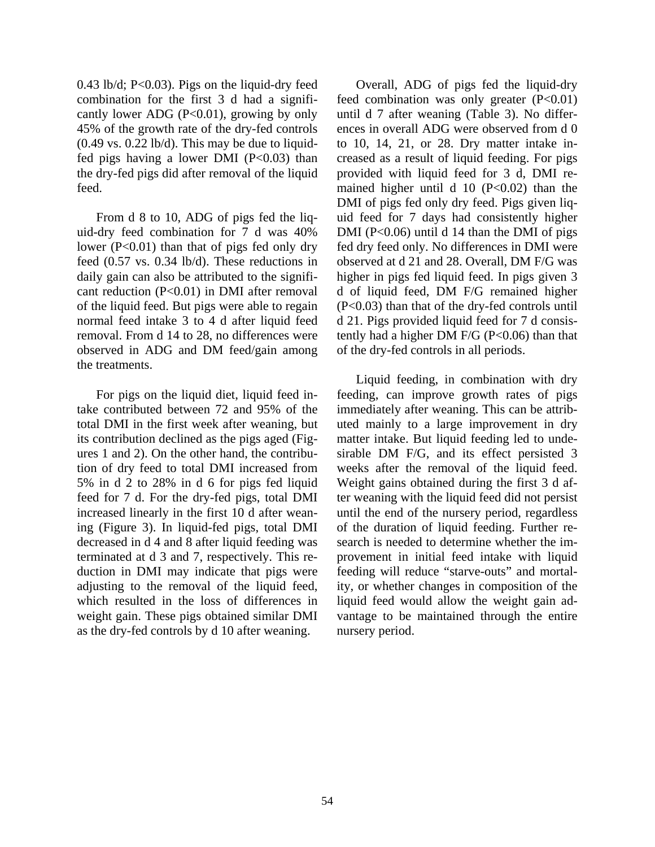$0.43$  lb/d; P< $0.03$ ). Pigs on the liquid-dry feed combination for the first 3 d had a significantly lower ADG  $(P<0.01)$ , growing by only 45% of the growth rate of the dry-fed controls  $(0.49 \text{ vs. } 0.22 \text{ lb/d})$ . This may be due to liquidfed pigs having a lower DMI  $(P<0.03)$  than the dry-fed pigs did after removal of the liquid feed.

 From d 8 to 10, ADG of pigs fed the liquid-dry feed combination for 7 d was 40% lower (P<0.01) than that of pigs fed only dry feed (0.57 vs. 0.34 lb/d). These reductions in daily gain can also be attributed to the significant reduction (P<0.01) in DMI after removal of the liquid feed. But pigs were able to regain normal feed intake 3 to 4 d after liquid feed removal. From d 14 to 28, no differences were observed in ADG and DM feed/gain among the treatments.

 For pigs on the liquid diet, liquid feed intake contributed between 72 and 95% of the total DMI in the first week after weaning, but its contribution declined as the pigs aged (Figures 1 and 2). On the other hand, the contribution of dry feed to total DMI increased from 5% in d 2 to 28% in d 6 for pigs fed liquid feed for 7 d. For the dry-fed pigs, total DMI increased linearly in the first 10 d after weaning (Figure 3). In liquid-fed pigs, total DMI decreased in d 4 and 8 after liquid feeding was terminated at d 3 and 7, respectively. This reduction in DMI may indicate that pigs were adjusting to the removal of the liquid feed, which resulted in the loss of differences in weight gain. These pigs obtained similar DMI as the dry-fed controls by d 10 after weaning.

 Overall, ADG of pigs fed the liquid-dry feed combination was only greater  $(P<0.01)$ until d 7 after weaning (Table 3). No differences in overall ADG were observed from d 0 to 10, 14, 21, or 28. Dry matter intake increased as a result of liquid feeding. For pigs provided with liquid feed for 3 d, DMI remained higher until d 10  $(P<0.02)$  than the DMI of pigs fed only dry feed. Pigs given liquid feed for 7 days had consistently higher DMI ( $P<0.06$ ) until d 14 than the DMI of pigs fed dry feed only. No differences in DMI were observed at d 21 and 28. Overall, DM F/G was higher in pigs fed liquid feed. In pigs given 3 d of liquid feed, DM F/G remained higher (P<0.03) than that of the dry-fed controls until d 21. Pigs provided liquid feed for 7 d consistently had a higher DM F/G (P< $0.06$ ) than that of the dry-fed controls in all periods.

 Liquid feeding, in combination with dry feeding, can improve growth rates of pigs immediately after weaning. This can be attributed mainly to a large improvement in dry matter intake. But liquid feeding led to undesirable DM F/G, and its effect persisted 3 weeks after the removal of the liquid feed. Weight gains obtained during the first 3 d after weaning with the liquid feed did not persist until the end of the nursery period, regardless of the duration of liquid feeding. Further research is needed to determine whether the improvement in initial feed intake with liquid feeding will reduce "starve-outs" and mortality, or whether changes in composition of the liquid feed would allow the weight gain advantage to be maintained through the entire nursery period.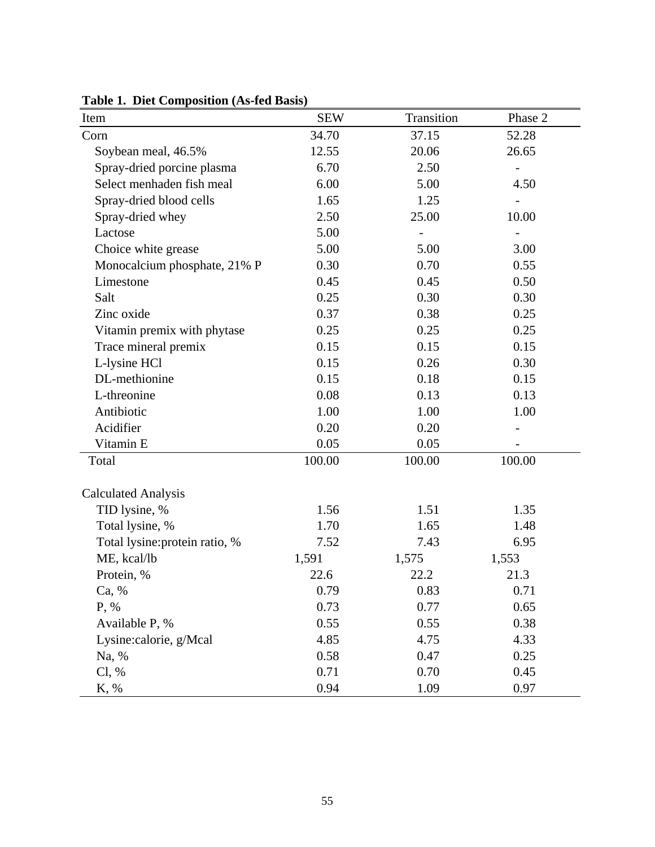| Item                           | <b>SEW</b> | Transition | Phase 2 |
|--------------------------------|------------|------------|---------|
| Corn                           | 34.70      | 37.15      | 52.28   |
| Soybean meal, 46.5%            | 12.55      | 20.06      | 26.65   |
| Spray-dried porcine plasma     | 6.70       | 2.50       |         |
| Select menhaden fish meal      | 6.00       | 5.00       | 4.50    |
| Spray-dried blood cells        | 1.65       | 1.25       |         |
| Spray-dried whey               | 2.50       | 25.00      | 10.00   |
| Lactose                        | 5.00       |            |         |
| Choice white grease            | 5.00       | 5.00       | 3.00    |
| Monocalcium phosphate, 21% P   | 0.30       | 0.70       | 0.55    |
| Limestone                      | 0.45       | 0.45       | 0.50    |
| Salt                           | 0.25       | 0.30       | 0.30    |
| Zinc oxide                     | 0.37       | 0.38       | 0.25    |
| Vitamin premix with phytase    | 0.25       | 0.25       | 0.25    |
| Trace mineral premix           | 0.15       | 0.15       | 0.15    |
| L-lysine HCl                   | 0.15       | 0.26       | 0.30    |
| DL-methionine                  | 0.15       | 0.18       | 0.15    |
| L-threonine                    | 0.08       | 0.13       | 0.13    |
| Antibiotic                     | 1.00       | 1.00       | 1.00    |
| Acidifier                      | 0.20       | 0.20       |         |
| Vitamin E                      | 0.05       | 0.05       |         |
| Total                          | 100.00     | 100.00     | 100.00  |
| <b>Calculated Analysis</b>     |            |            |         |
| TID lysine, %                  | 1.56       | 1.51       | 1.35    |
| Total lysine, %                | 1.70       | 1.65       | 1.48    |
| Total lysine: protein ratio, % | 7.52       | 7.43       | 6.95    |
| ME, kcal/lb                    | 1,591      | 1,575      | 1,553   |
| Protein, %                     | 22.6       | 22.2       | 21.3    |
| Ca, %                          | 0.79       | 0.83       | 0.71    |
| P, %                           | 0.73       | 0.77       | 0.65    |
| Available P, %                 | 0.55       | 0.55       | 0.38    |
| Lysine:calorie, g/Mcal         | 4.85       | 4.75       | 4.33    |
| Na, %                          | 0.58       | 0.47       | 0.25    |
| Cl, %                          | 0.71       | 0.70       | 0.45    |
| K, %                           | 0.94       | 1.09       | 0.97    |

**Table 1. Diet Composition (As-fed Basis)**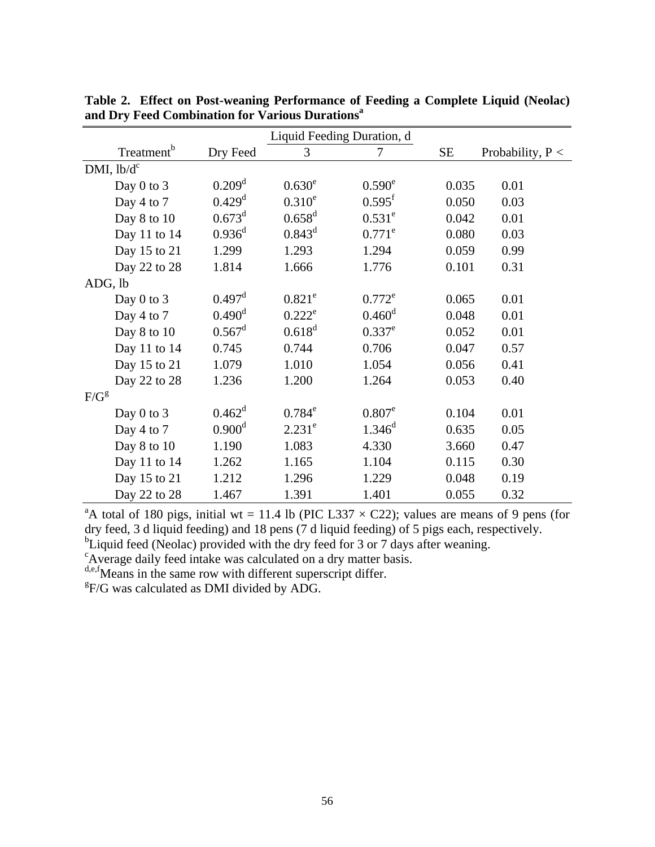| Liquid Feeding Duration, d |                      |                 |                      |           |                    |
|----------------------------|----------------------|-----------------|----------------------|-----------|--------------------|
| Treatment <sup>b</sup>     | Dry Feed             | 3               | 7                    | <b>SE</b> | Probability, $P <$ |
| DMI, $lb/d^c$              |                      |                 |                      |           |                    |
| Day $0$ to $3$             | $0.209$ <sup>d</sup> | $0.630^e$       | $0.590^e$            | 0.035     | 0.01               |
| Day 4 to 7                 | $0.429$ <sup>d</sup> | $0.310^{e}$     | $0.595$ <sup>f</sup> | 0.050     | 0.03               |
| Day 8 to 10                | $0.673^d$            | $0.658^{\rm d}$ | $0.531^e$            | 0.042     | 0.01               |
| Day 11 to 14               | $0.936^d$            | $0.843^d$       | $0.771^e$            | 0.080     | 0.03               |
| Day 15 to 21               | 1.299                | 1.293           | 1.294                | 0.059     | 0.99               |
| Day 22 to 28               | 1.814                | 1.666           | 1.776                | 0.101     | 0.31               |
| ADG, lb                    |                      |                 |                      |           |                    |
| Day $0$ to $3$             | $0.497$ <sup>d</sup> | $0.821^e$       | $0.772^e$            | 0.065     | 0.01               |
| Day 4 to 7                 | $0.490^{\rm d}$      | $0.222^e$       | $0.460^{\rm d}$      | 0.048     | 0.01               |
| Day 8 to 10                | $0.567^{\rm d}$      | $0.618^{d}$     | $0.337^e$            | 0.052     | 0.01               |
| Day 11 to 14               | 0.745                | 0.744           | 0.706                | 0.047     | 0.57               |
| Day 15 to 21               | 1.079                | 1.010           | 1.054                | 0.056     | 0.41               |
| Day 22 to 28               | 1.236                | 1.200           | 1.264                | 0.053     | 0.40               |
| $F/G^g$                    |                      |                 |                      |           |                    |
| Day $0$ to $3$             | $0.462^{\rm d}$      | $0.784^e$       | $0.807^e$            | 0.104     | 0.01               |
| Day 4 to 7                 | $0.900^d$            | $2.231^e$       | $1.346^d$            | 0.635     | 0.05               |
| Day 8 to 10                | 1.190                | 1.083           | 4.330                | 3.660     | 0.47               |
| Day 11 to 14               | 1.262                | 1.165           | 1.104                | 0.115     | 0.30               |
| Day 15 to 21               | 1.212                | 1.296           | 1.229                | 0.048     | 0.19               |
| Day 22 to 28               | 1.467                | 1.391           | 1.401                | 0.055     | 0.32               |

**Table 2. Effect on Post-weaning Performance of Feeding a Complete Liquid (Neolac) and Dry Feed Combination for Various Durationsa**

<sup>a</sup>A total of 180 pigs, initial wt = 11.4 lb (PIC L337  $\times$  C22); values are means of 9 pens (for dry feed, 3 d liquid feeding) and 18 pens (7 d liquid feeding) of 5 pigs each, respectively.

<sup>b</sup>Liquid feed (Neolac) provided with the dry feed for 3 or 7 days after weaning.

Average daily feed intake was calculated on a dry matter basis.

d,e,f Means in the same row with different superscript differ.

 $E_F/G$  was calculated as DMI divided by ADG.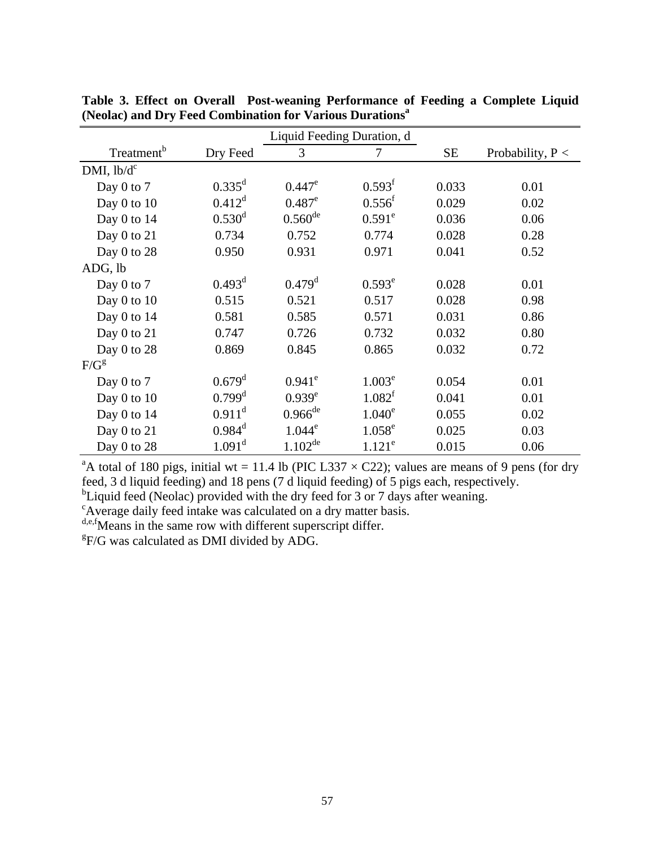|                        |                      | Liquid Feeding Duration, d |                    |           |                    |
|------------------------|----------------------|----------------------------|--------------------|-----------|--------------------|
| Treatment <sup>b</sup> | Dry Feed             | 3                          | 7                  | <b>SE</b> | Probability, $P <$ |
| DMI, $lb/d^c$          |                      |                            |                    |           |                    |
| Day 0 to 7             | $0.335^d$            | $0.447^e$                  | 0.593 <sup>f</sup> | 0.033     | 0.01               |
| Day $0$ to $10$        | $0.412^d$            | $0.487^e$                  | $0.556^{\rm f}$    | 0.029     | 0.02               |
| Day $0$ to $14$        | $0.530^d$            | $0.560^{de}$               | $0.591^e$          | 0.036     | 0.06               |
| Day $0$ to $21$        | 0.734                | 0.752                      | 0.774              | 0.028     | 0.28               |
| Day 0 to 28            | 0.950                | 0.931                      | 0.971              | 0.041     | 0.52               |
| ADG, lb                |                      |                            |                    |           |                    |
| Day $0$ to $7$         | $0.493^d$            | $0.479$ <sup>d</sup>       | $0.593^e$          | 0.028     | 0.01               |
| Day 0 to 10            | 0.515                | 0.521                      | 0.517              | 0.028     | 0.98               |
| Day $0$ to $14$        | 0.581                | 0.585                      | 0.571              | 0.031     | 0.86               |
| Day 0 to 21            | 0.747                | 0.726                      | 0.732              | 0.032     | 0.80               |
| Day 0 to 28            | 0.869                | 0.845                      | 0.865              | 0.032     | 0.72               |
| $F/G^g$                |                      |                            |                    |           |                    |
| Day $0$ to $7$         | $0.679$ <sup>d</sup> | $0.941^e$                  | 1.003 <sup>e</sup> | 0.054     | 0.01               |
| Day $0$ to $10$        | $0.799$ <sup>d</sup> | $0.939^e$                  | 1.082 <sup>f</sup> | 0.041     | 0.01               |
| Day 0 to 14            | $0.911^d$            | $0.966^{de}$               | $1.040^e$          | 0.055     | 0.02               |
| Day 0 to 21            | $0.984^d$            | $1.044^e$                  | $1.058^e$          | 0.025     | 0.03               |
| Day 0 to 28            | $1.091^d$            | $1.102^{de}$               | $1.121^e$          | 0.015     | 0.06               |

**Table 3. Effect on Overall Post-weaning Performance of Feeding a Complete Liquid (Neolac) and Dry Feed Combination for Various Durations<sup>a</sup>**

<sup>a</sup>A total of 180 pigs, initial wt = 11.4 lb (PIC L337  $\times$  C22); values are means of 9 pens (for dry feed, 3 d liquid feeding) and 18 pens (7 d liquid feeding) of 5 pigs each, respectively.

<sup>b</sup>Liquid feed (Neolac) provided with the dry feed for 3 or 7 days after weaning.

Average daily feed intake was calculated on a dry matter basis.

d,e,f Means in the same row with different superscript differ.

 $E\$ if/G was calculated as DMI divided by ADG.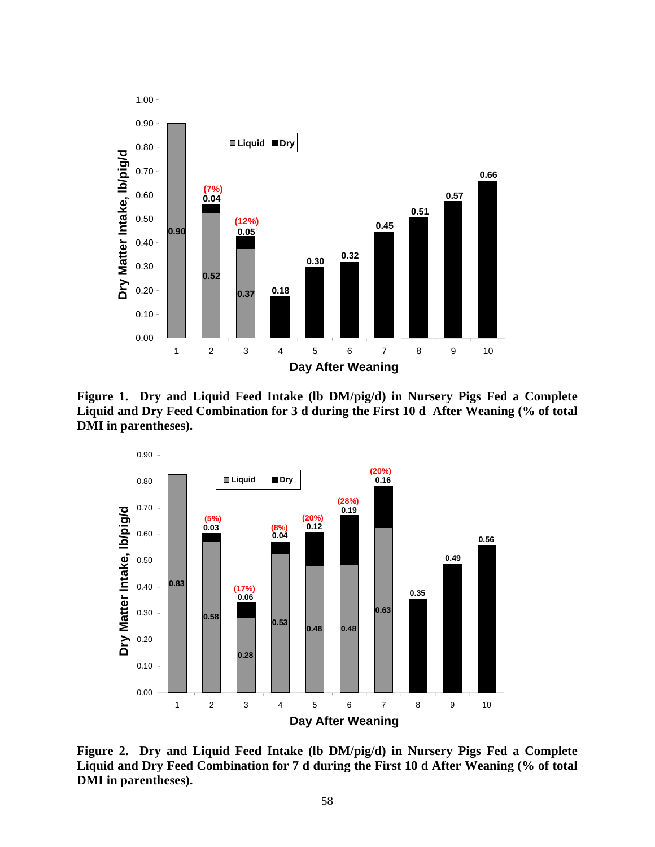

**Figure 1. Dry and Liquid Feed Intake (lb DM/pig/d) in Nursery Pigs Fed a Complete Liquid and Dry Feed Combination for 3 d during the First 10 d After Weaning (% of total DMI in parentheses).** 



**Figure 2. Dry and Liquid Feed Intake (lb DM/pig/d) in Nursery Pigs Fed a Complete Liquid and Dry Feed Combination for 7 d during the First 10 d After Weaning (% of total DMI in parentheses).**